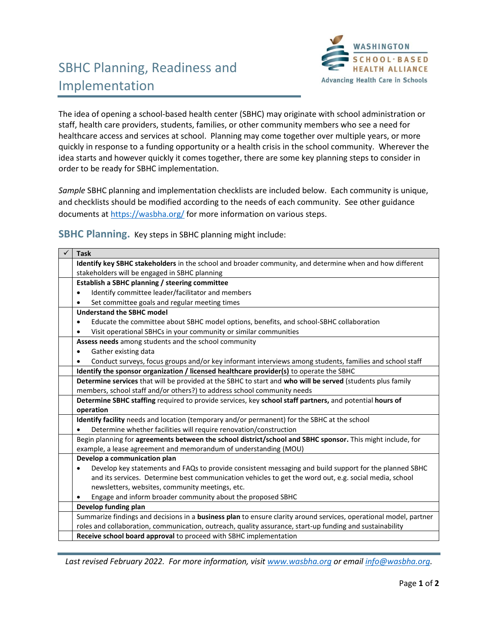

## SBHC Planning, Readiness and Implementation

The idea of opening a school-based health center (SBHC) may originate with school administration or staff, health care providers, students, families, or other community members who see a need for healthcare access and services at school. Planning may come together over multiple years, or more quickly in response to a funding opportunity or a health crisis in the school community. Wherever the idea starts and however quickly it comes together, there are some key planning steps to consider in order to be ready for SBHC implementation.

*Sample* SBHC planning and implementation checklists are included below. Each community is unique, and checklists should be modified according to the needs of each community. See other guidance documents at <https://wasbha.org/> for more information on various steps.

**SBHC Planning.** Key steps in SBHC planning might include:

| <b>Task</b>                                                                                                       |  |  |
|-------------------------------------------------------------------------------------------------------------------|--|--|
| Identify key SBHC stakeholders in the school and broader community, and determine when and how different          |  |  |
| stakeholders will be engaged in SBHC planning                                                                     |  |  |
| Establish a SBHC planning / steering committee                                                                    |  |  |
| Identify committee leader/facilitator and members<br>$\bullet$                                                    |  |  |
| Set committee goals and regular meeting times                                                                     |  |  |
| <b>Understand the SBHC model</b>                                                                                  |  |  |
| Educate the committee about SBHC model options, benefits, and school-SBHC collaboration                           |  |  |
| Visit operational SBHCs in your community or similar communities                                                  |  |  |
| Assess needs among students and the school community                                                              |  |  |
| Gather existing data<br>٠                                                                                         |  |  |
| Conduct surveys, focus groups and/or key informant interviews among students, families and school staff<br>٠      |  |  |
| Identify the sponsor organization / licensed healthcare provider(s) to operate the SBHC                           |  |  |
| Determine services that will be provided at the SBHC to start and who will be served (students plus family        |  |  |
| members, school staff and/or others?) to address school community needs                                           |  |  |
| Determine SBHC staffing required to provide services, key school staff partners, and potential hours of           |  |  |
| operation                                                                                                         |  |  |
| Identify facility needs and location (temporary and/or permanent) for the SBHC at the school                      |  |  |
| Determine whether facilities will require renovation/construction                                                 |  |  |
| Begin planning for agreements between the school district/school and SBHC sponsor. This might include, for        |  |  |
| example, a lease agreement and memorandum of understanding (MOU)                                                  |  |  |
| Develop a communication plan                                                                                      |  |  |
| Develop key statements and FAQs to provide consistent messaging and build support for the planned SBHC            |  |  |
| and its services. Determine best communication vehicles to get the word out, e.g. social media, school            |  |  |
| newsletters, websites, community meetings, etc.                                                                   |  |  |
| Engage and inform broader community about the proposed SBHC                                                       |  |  |
| Develop funding plan                                                                                              |  |  |
| Summarize findings and decisions in a business plan to ensure clarity around services, operational model, partner |  |  |
| roles and collaboration, communication, outreach, quality assurance, start-up funding and sustainability          |  |  |
| Receive school board approval to proceed with SBHC implementation                                                 |  |  |

*Last revised February 2022. For more information, visi[t www.wasbha.org](http://www.wasbha.org/) or email [info@wasbha.org.](mailto:info@wasbha.org)*